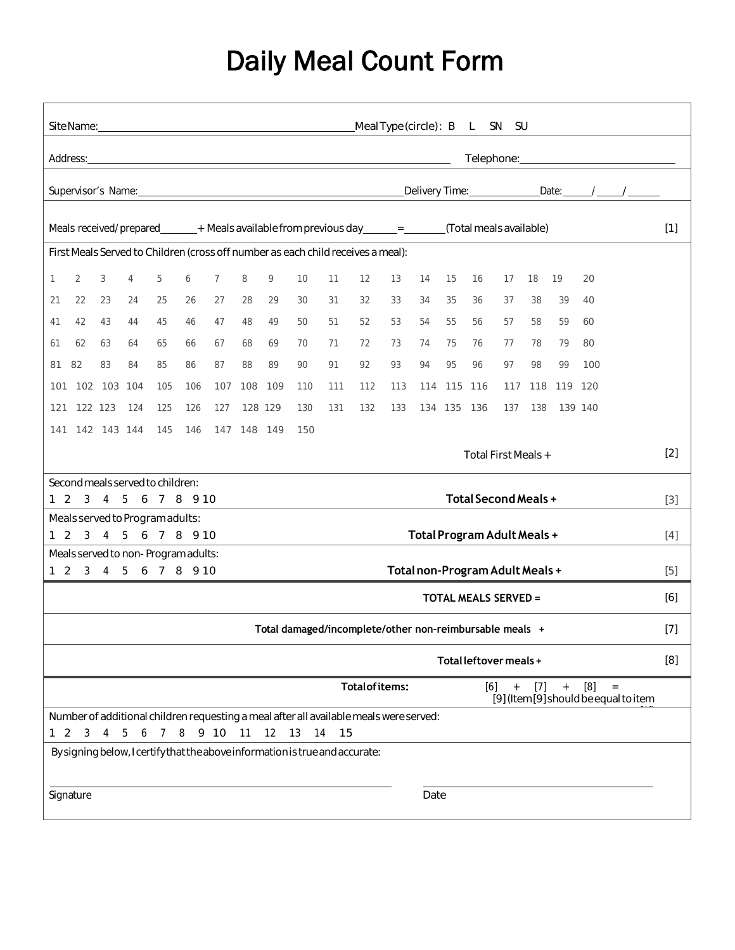## Daily Meal Count Form

|                                                                                                                                                                                           | Meal Type (circle): B L<br>SN SU                                                                                                                                                                                               |             |                |                |           |                |             |         |     |       |                                                                                        |     |      |             |       |                        |     |                 |         |  |     |
|-------------------------------------------------------------------------------------------------------------------------------------------------------------------------------------------|--------------------------------------------------------------------------------------------------------------------------------------------------------------------------------------------------------------------------------|-------------|----------------|----------------|-----------|----------------|-------------|---------|-----|-------|----------------------------------------------------------------------------------------|-----|------|-------------|-------|------------------------|-----|-----------------|---------|--|-----|
|                                                                                                                                                                                           | Address: Note that the contract of the contract of the contract of the contract of the contract of the contract of the contract of the contract of the contract of the contract of the contract of the contract of the contrac |             |                |                |           |                |             |         |     |       |                                                                                        |     |      |             |       |                        |     |                 |         |  |     |
|                                                                                                                                                                                           | Delivery Time: _________________________Date: _______/ _______/                                                                                                                                                                |             |                |                |           |                |             |         |     |       |                                                                                        |     |      |             |       |                        |     |                 |         |  |     |
|                                                                                                                                                                                           |                                                                                                                                                                                                                                |             |                |                |           |                |             |         |     |       |                                                                                        |     |      |             |       |                        |     |                 |         |  |     |
| Meals received/prepared_______+ Meals available from previous day______=______(Total meals available)<br>First Meals Served to Children (cross off number as each child receives a meal): |                                                                                                                                                                                                                                |             |                |                |           |                |             |         |     |       |                                                                                        |     |      | $[1]$       |       |                        |     |                 |         |  |     |
|                                                                                                                                                                                           |                                                                                                                                                                                                                                |             |                |                |           |                |             |         |     |       |                                                                                        |     |      |             |       |                        |     |                 |         |  |     |
| 1                                                                                                                                                                                         | 2                                                                                                                                                                                                                              | 3           | $\overline{4}$ | 5              | 6         | $\overline{7}$ | 8           | 9       | 10  | 11    | 12                                                                                     | 13  | 14   | 15          | 16    | 17                     | 18  | 19              | 20      |  |     |
| 21                                                                                                                                                                                        | 22                                                                                                                                                                                                                             | 23          | 24             | 25             | 26        | 27             | 28          | 29      | 30  | 31    | 32                                                                                     | 33  | 34   | 35          | 36    | 37                     | 38  | 39              | 40      |  |     |
| 41                                                                                                                                                                                        | 42                                                                                                                                                                                                                             | 43          | 44             | 45             | 46        | 47             | 48          | 49      | 50  | 51    | 52                                                                                     | 53  | 54   | 55          | 56    | 57                     | 58  | 59              | 60      |  |     |
| 61                                                                                                                                                                                        | 62                                                                                                                                                                                                                             | 63          | 64             | 65             | 66        | 67             | 68          | 69      | 70  | 71    | 72                                                                                     | 73  | 74   | 75          | 76    | 77                     | 78  | 79              | 80      |  |     |
| 81                                                                                                                                                                                        | 82                                                                                                                                                                                                                             | 83          | 84             | 85             | 86        | 87             | 88          | 89      | 90  | 91    | 92                                                                                     | 93  | 94   | 95          | 96    | 97                     | 98  | 99              | 100     |  |     |
| 101                                                                                                                                                                                       |                                                                                                                                                                                                                                | 102 103 104 |                | 105            | 106       | 107            | 108         | 109     | 110 | 111   | 112                                                                                    | 113 |      | 114 115 116 |       |                        |     | 117 118 119 120 |         |  |     |
| 121                                                                                                                                                                                       |                                                                                                                                                                                                                                | 122 123     | 124            | 125            | 126       | 127            |             | 128 129 | 130 | 131   | 132                                                                                    | 133 |      | 134 135 136 |       | 137                    | 138 |                 | 139 140 |  |     |
| 141                                                                                                                                                                                       |                                                                                                                                                                                                                                | 142 143 144 |                | 145            | 146       |                | 147 148 149 |         | 150 |       |                                                                                        |     |      |             |       |                        |     |                 |         |  |     |
|                                                                                                                                                                                           | Total First Meals +                                                                                                                                                                                                            |             |                |                |           |                |             |         |     |       |                                                                                        |     |      |             |       | $[2]$                  |     |                 |         |  |     |
|                                                                                                                                                                                           | Second meals served to children:                                                                                                                                                                                               |             |                |                |           |                |             |         |     |       |                                                                                        |     |      |             |       |                        |     |                 |         |  |     |
|                                                                                                                                                                                           | Total Second Meals +<br>1 2 3 4 5 6 7 8 9 10                                                                                                                                                                                   |             |                |                |           |                |             |         |     |       |                                                                                        |     |      |             |       | $[3]$                  |     |                 |         |  |     |
|                                                                                                                                                                                           | Meals served to Program adults:<br>1 2 3 4 5 6 7 8 9 10                                                                                                                                                                        |             |                |                |           |                |             |         |     |       |                                                                                        |     |      |             |       |                        |     |                 |         |  |     |
| Total Program Adult Meals +<br>$[4]$<br>Meals served to non-Program adults:                                                                                                               |                                                                                                                                                                                                                                |             |                |                |           |                |             |         |     |       |                                                                                        |     |      |             |       |                        |     |                 |         |  |     |
| Total non-Program Adult Meals +<br>1 2 3 4 5 6 7 8 9 10                                                                                                                                   |                                                                                                                                                                                                                                |             |                |                |           |                |             |         |     |       |                                                                                        |     |      |             | $[5]$ |                        |     |                 |         |  |     |
| <b>TOTAL MEALS SERVED =</b>                                                                                                                                                               |                                                                                                                                                                                                                                |             |                |                |           |                |             |         |     |       |                                                                                        |     |      |             | [6]   |                        |     |                 |         |  |     |
|                                                                                                                                                                                           | Total damaged/incomplete/other non-reimbursable meals +                                                                                                                                                                        |             |                |                |           |                |             |         |     |       |                                                                                        |     |      |             |       | $[7]$                  |     |                 |         |  |     |
|                                                                                                                                                                                           |                                                                                                                                                                                                                                |             |                |                |           |                |             |         |     |       |                                                                                        |     |      |             |       | Total leftover meals + |     |                 |         |  | [8] |
|                                                                                                                                                                                           | <b>Totalofitems:</b><br>[6]<br>[8]<br>$[7]$<br>$+$<br>$+$<br>$=$<br>[9] (Item [9] should be equal to item                                                                                                                      |             |                |                |           |                |             |         |     |       |                                                                                        |     |      |             |       |                        |     |                 |         |  |     |
|                                                                                                                                                                                           |                                                                                                                                                                                                                                |             |                |                |           |                |             |         |     |       | Number of additional children requesting a meal after all available meals were served: |     |      |             |       |                        |     |                 |         |  |     |
| $1\quad2$                                                                                                                                                                                 | 3                                                                                                                                                                                                                              | 4           | 5<br>6         | $\overline{7}$ | 8 9 10 11 |                |             | 12      | 13  | 14 15 |                                                                                        |     |      |             |       |                        |     |                 |         |  |     |
|                                                                                                                                                                                           |                                                                                                                                                                                                                                |             |                |                |           |                |             |         |     |       | By signing below, I certify that the above information is true and accurate:           |     |      |             |       |                        |     |                 |         |  |     |
|                                                                                                                                                                                           | Signature                                                                                                                                                                                                                      |             |                |                |           |                |             |         |     |       |                                                                                        |     | Date |             |       |                        |     |                 |         |  |     |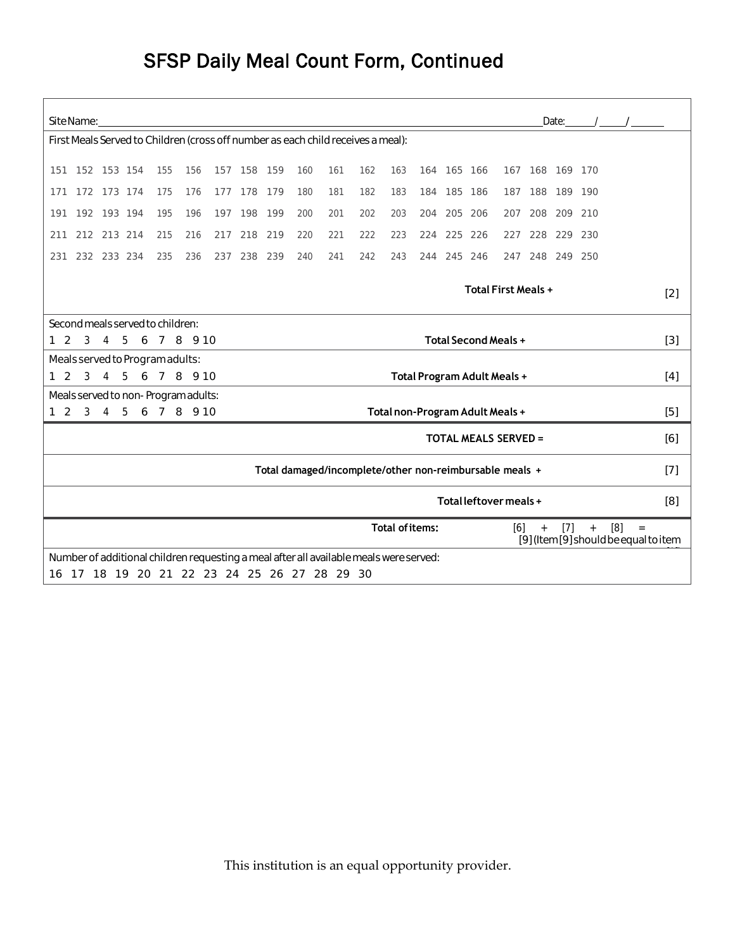## SFSP Daily Meal Count Form, Continued

| Site Name:<br>Date: $/$ /                                                                                                       |                                                                                                               |             |  |     |     |     |             |     |     |                                              |     |     |       |             |         |     |     |             |     |  |  |  |
|---------------------------------------------------------------------------------------------------------------------------------|---------------------------------------------------------------------------------------------------------------|-------------|--|-----|-----|-----|-------------|-----|-----|----------------------------------------------|-----|-----|-------|-------------|---------|-----|-----|-------------|-----|--|--|--|
| First Meals Served to Children (cross off number as each child receives a meal):                                                |                                                                                                               |             |  |     |     |     |             |     |     |                                              |     |     |       |             |         |     |     |             |     |  |  |  |
|                                                                                                                                 | 151 152 153 154<br>155<br>156<br>157 158 159<br>160<br>161<br>165 166<br>167 168 169 170<br>162<br>163<br>164 |             |  |     |     |     |             |     |     |                                              |     |     |       |             |         |     |     |             |     |  |  |  |
| 171                                                                                                                             |                                                                                                               | 172 173 174 |  | 175 | 176 |     | 177 178     | 179 | 180 | 181                                          | 182 | 183 | 184   | 185 186     |         | 187 | 188 | 189 190     |     |  |  |  |
| 191                                                                                                                             |                                                                                                               | 192 193 194 |  | 195 | 196 | 197 | 198         | 199 | 200 | 201                                          | 202 | 203 | 204   | 205         | 206     | 207 |     | 208 209     | 210 |  |  |  |
| 211                                                                                                                             |                                                                                                               | 212 213 214 |  | 215 | 216 |     | 217 218 219 |     | 220 | 221                                          | 222 | 223 |       | 224 225 226 |         | 227 | 228 | 229 230     |     |  |  |  |
| 231                                                                                                                             |                                                                                                               | 232 233 234 |  | 235 | 236 |     | 237 238 239 |     | 240 | 241                                          | 242 | 243 | 244   |             | 245 246 | 247 |     | 248 249 250 |     |  |  |  |
| <b>Total First Meals +</b>                                                                                                      |                                                                                                               |             |  |     |     |     |             |     |     |                                              |     |     |       |             | $[2]$   |     |     |             |     |  |  |  |
| Second meals served to children:                                                                                                |                                                                                                               |             |  |     |     |     |             |     |     |                                              |     |     |       |             |         |     |     |             |     |  |  |  |
| <b>Total Second Meals +</b><br>$\overline{3}$<br>4 5 6 7 8 9 10<br>$1\quad 2$                                                   |                                                                                                               |             |  |     |     |     |             |     |     |                                              |     |     |       |             | $[3]$   |     |     |             |     |  |  |  |
| Meals served to Program adults:                                                                                                 |                                                                                                               |             |  |     |     |     |             |     |     |                                              |     |     |       |             |         |     |     |             |     |  |  |  |
| 5 6 7 8 9 10<br>$\overline{2}$<br>3<br>Total Program Adult Meals +<br>$\mathbf{1}$<br>$\overline{4}$                            |                                                                                                               |             |  |     |     |     |             |     |     |                                              |     |     |       |             | $[4]$   |     |     |             |     |  |  |  |
| Meals served to non-Program adults:<br>123<br>5 <sup>5</sup><br>6 7 8 9 10<br>Total non-Program Adult Meals +<br>$\overline{4}$ |                                                                                                               |             |  |     |     |     |             |     |     |                                              |     |     | $[5]$ |             |         |     |     |             |     |  |  |  |
| <b>TOTAL MEALS SERVED =</b>                                                                                                     |                                                                                                               |             |  |     |     |     |             |     |     |                                              |     |     |       |             | [6]     |     |     |             |     |  |  |  |
| Total damaged/incomplete/other non-reimbursable meals +                                                                         |                                                                                                               |             |  |     |     |     |             |     |     |                                              |     |     |       |             | $[7]$   |     |     |             |     |  |  |  |
| Total leftover meals +                                                                                                          |                                                                                                               |             |  |     |     |     |             |     |     |                                              |     |     |       |             | [8]     |     |     |             |     |  |  |  |
| <b>Total of items:</b><br>[6]<br>$[7]$<br>[8]<br>$+$<br>$\qquad \qquad +$<br>[9] (Item [9] should be equal to item              |                                                                                                               |             |  |     |     |     |             |     |     |                                              |     |     | $=$   |             |         |     |     |             |     |  |  |  |
|                                                                                                                                 | Number of additional children requesting a meal after all available meals were served:                        |             |  |     |     |     |             |     |     |                                              |     |     |       |             |         |     |     |             |     |  |  |  |
|                                                                                                                                 |                                                                                                               |             |  |     |     |     |             |     |     | 16 17 18 19 20 21 22 23 24 25 26 27 28 29 30 |     |     |       |             |         |     |     |             |     |  |  |  |